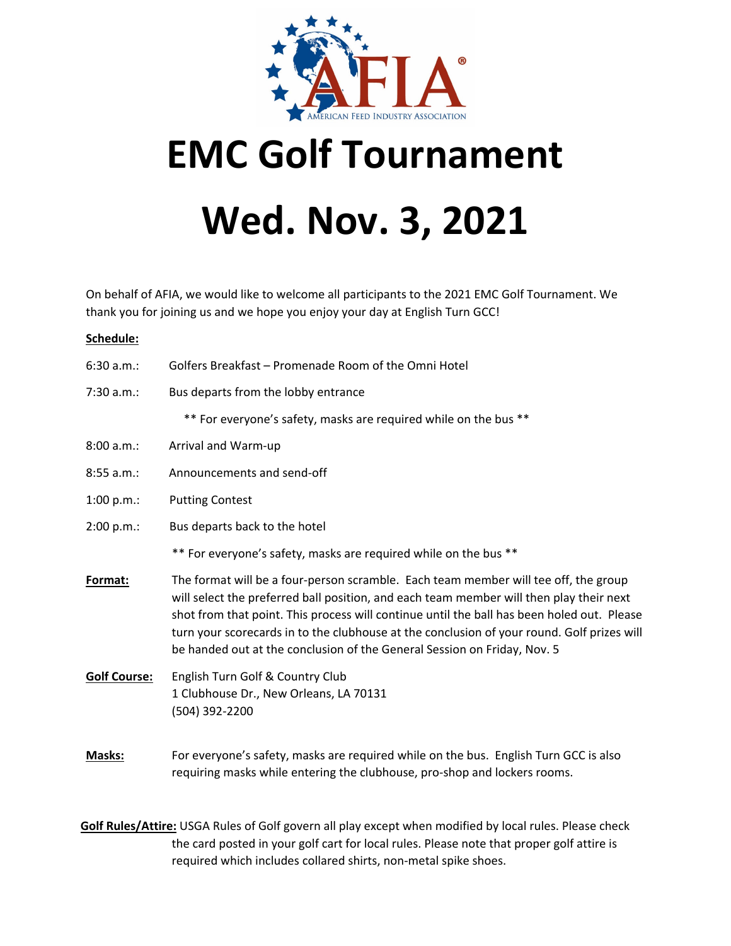

## **EMC Golf Tournament Wed. Nov. 3, 2021**

On behalf of AFIA, we would like to welcome all participants to the 2021 EMC Golf Tournament. We thank you for joining us and we hope you enjoy your day at English Turn GCC!

## **Schedule:**

| 6:30 a.m.:          | Golfers Breakfast - Promenade Room of the Omni Hotel                                                                                                                                                                                                                                                                                                                                                                                                   |
|---------------------|--------------------------------------------------------------------------------------------------------------------------------------------------------------------------------------------------------------------------------------------------------------------------------------------------------------------------------------------------------------------------------------------------------------------------------------------------------|
| 7:30 a.m.:          | Bus departs from the lobby entrance                                                                                                                                                                                                                                                                                                                                                                                                                    |
|                     | ** For everyone's safety, masks are required while on the bus **                                                                                                                                                                                                                                                                                                                                                                                       |
| 8:00 a.m.:          | Arrival and Warm-up                                                                                                                                                                                                                                                                                                                                                                                                                                    |
| 8:55 a.m.:          | Announcements and send-off                                                                                                                                                                                                                                                                                                                                                                                                                             |
| 1:00 $p.m.:$        | <b>Putting Contest</b>                                                                                                                                                                                                                                                                                                                                                                                                                                 |
| 2:00 p.m.:          | Bus departs back to the hotel                                                                                                                                                                                                                                                                                                                                                                                                                          |
|                     | ** For everyone's safety, masks are required while on the bus **                                                                                                                                                                                                                                                                                                                                                                                       |
| Format:             | The format will be a four-person scramble. Each team member will tee off, the group<br>will select the preferred ball position, and each team member will then play their next<br>shot from that point. This process will continue until the ball has been holed out. Please<br>turn your scorecards in to the clubhouse at the conclusion of your round. Golf prizes will<br>be handed out at the conclusion of the General Session on Friday, Nov. 5 |
| <b>Golf Course:</b> | English Turn Golf & Country Club<br>1 Clubhouse Dr., New Orleans, LA 70131<br>(504) 392-2200                                                                                                                                                                                                                                                                                                                                                           |
| Masks:              | For everyone's safety, masks are required while on the bus. English Turn GCC is also<br>requiring masks while entering the clubhouse, pro-shop and lockers rooms.                                                                                                                                                                                                                                                                                      |

**Golf Rules/Attire:** USGA Rules of Golf govern all play except when modified by local rules. Please check the card posted in your golf cart for local rules. Please note that proper golf attire is required which includes collared shirts, non‐metal spike shoes.